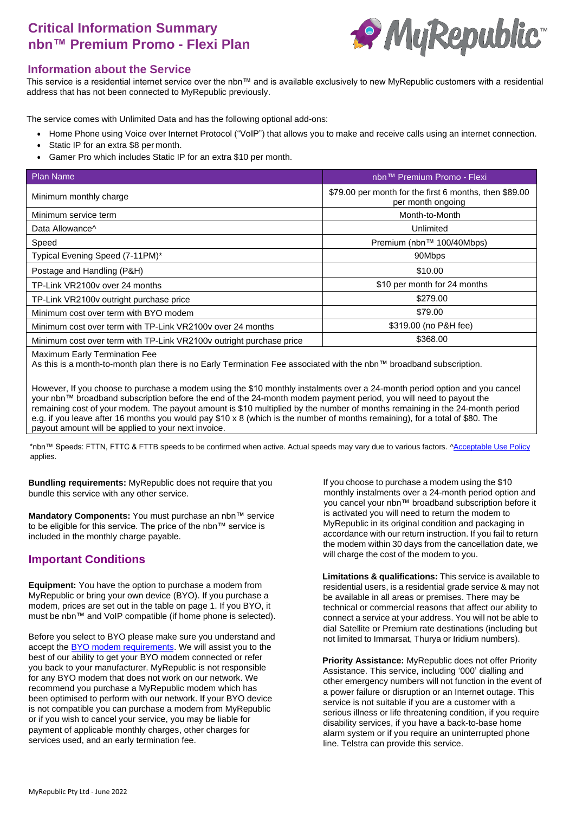# **Critical Information Summary nbn™ Premium Promo - Flexi Plan**



#### **Information about the Service**

This service is a residential internet service over the nbn™ and is available exclusively to new MyRepublic customers with a residential address that has not been connected to MyRepublic previously.

The service comes with Unlimited Data and has the following optional add-ons:

- Home Phone using Voice over Internet Protocol ("VoIP") that allows you to make and receive calls using an internet connection.
- Static IP for an extra \$8 per month.
- Gamer Pro which includes Static IP for an extra \$10 per month.

| <b>Plan Name</b>                                                    | nbn™ Premium Promo - Flexi                                                  |  |
|---------------------------------------------------------------------|-----------------------------------------------------------------------------|--|
| Minimum monthly charge                                              | \$79.00 per month for the first 6 months, then \$89.00<br>per month ongoing |  |
| Minimum service term                                                | Month-to-Month                                                              |  |
| Data Allowance <sup>^</sup>                                         | Unlimited                                                                   |  |
| Speed                                                               | Premium (nbn™ 100/40Mbps)                                                   |  |
| Typical Evening Speed (7-11PM)*                                     | 90Mbps                                                                      |  |
| Postage and Handling (P&H)                                          | \$10.00                                                                     |  |
| TP-Link VR2100v over 24 months                                      | \$10 per month for 24 months                                                |  |
| TP-Link VR2100v outright purchase price                             | \$279.00                                                                    |  |
| Minimum cost over term with BYO modem                               | \$79.00                                                                     |  |
| Minimum cost over term with TP-Link VR2100v over 24 months          | \$319.00 (no P&H fee)                                                       |  |
| Minimum cost over term with TP-Link VR2100v outright purchase price | \$368.00                                                                    |  |
|                                                                     |                                                                             |  |

Maximum Early Termination Fee

As this is a month-to-month plan there is no Early Termination Fee associated with the nbn™ broadband subscription.

However, If you choose to purchase a modem using the \$10 monthly instalments over a 24-month period option and you cancel your nbn™ broadband subscription before the end of the 24-month modem payment period, you will need to payout the remaining cost of your modem. The payout amount is \$10 multiplied by the number of months remaining in the 24-month period e.g. if you leave after 16 months you would pay \$10 x 8 (which is the number of months remaining), for a total of \$80. The payout amount will be applied to your next invoice.

\*nbn™ Speeds: FTTN, FTTC & FTTB speeds to be confirmed when active. Actual speeds may vary due to various factors[. ^Acceptable Use](http://www.myrepublic.net/au/legal) Policy applies.

**Bundling requirements:** MyRepublic does not require that you bundle this service with any other service.

**Mandatory Components:** You must purchase an nbn™ service to be eligible for this service. The price of the nbn™ service is included in the monthly charge payable.

### **Important Conditions**

**Equipment:** You have the option to purchase a modem from MyRepublic or bring your own device (BYO). If you purchase a modem, prices are set out in the table on page 1. If you BYO, it must be nbn™ and VoIP compatible (if home phone is selected).

Before you select to BYO please make sure you understand and accept the **BYO** modem requirements. We will assist you to the best of our ability to get your BYO modem connected or refer you back to your manufacturer. MyRepublic is not responsible for any BYO modem that does not work on our network. We recommend you purchase a MyRepublic modem which has been optimised to perform with our network. If your BYO device is not compatible you can purchase a modem from MyRepublic or if you wish to cancel your service, you may be liable for payment of applicable monthly charges, other charges for services used, and an early termination fee.

If you choose to purchase a modem using the \$10 monthly instalments over a 24-month period option and you cancel your nbn™ broadband subscription before it is activated you will need to return the modem to MyRepublic in its original condition and packaging in accordance with our return instruction. If you fail to return the modem within 30 days from the cancellation date, we will charge the cost of the modem to you.

**Limitations & qualifications:** This service is available to residential users, is a residential grade service & may not be available in all areas or premises. There may be technical or commercial reasons that affect our ability to connect a service at your address. You will not be able to dial Satellite or Premium rate destinations (including but not limited to Immarsat, Thurya or Iridium numbers).

**Priority Assistance:** MyRepublic does not offer Priority Assistance. This service, including '000' dialling and other emergency numbers will not function in the event of a power failure or disruption or an Internet outage. This service is not suitable if you are a customer with a serious illness or life threatening condition, if you require disability services, if you have a back-to-base home alarm system or if you require an uninterrupted phone line. Telstra can provide this service.